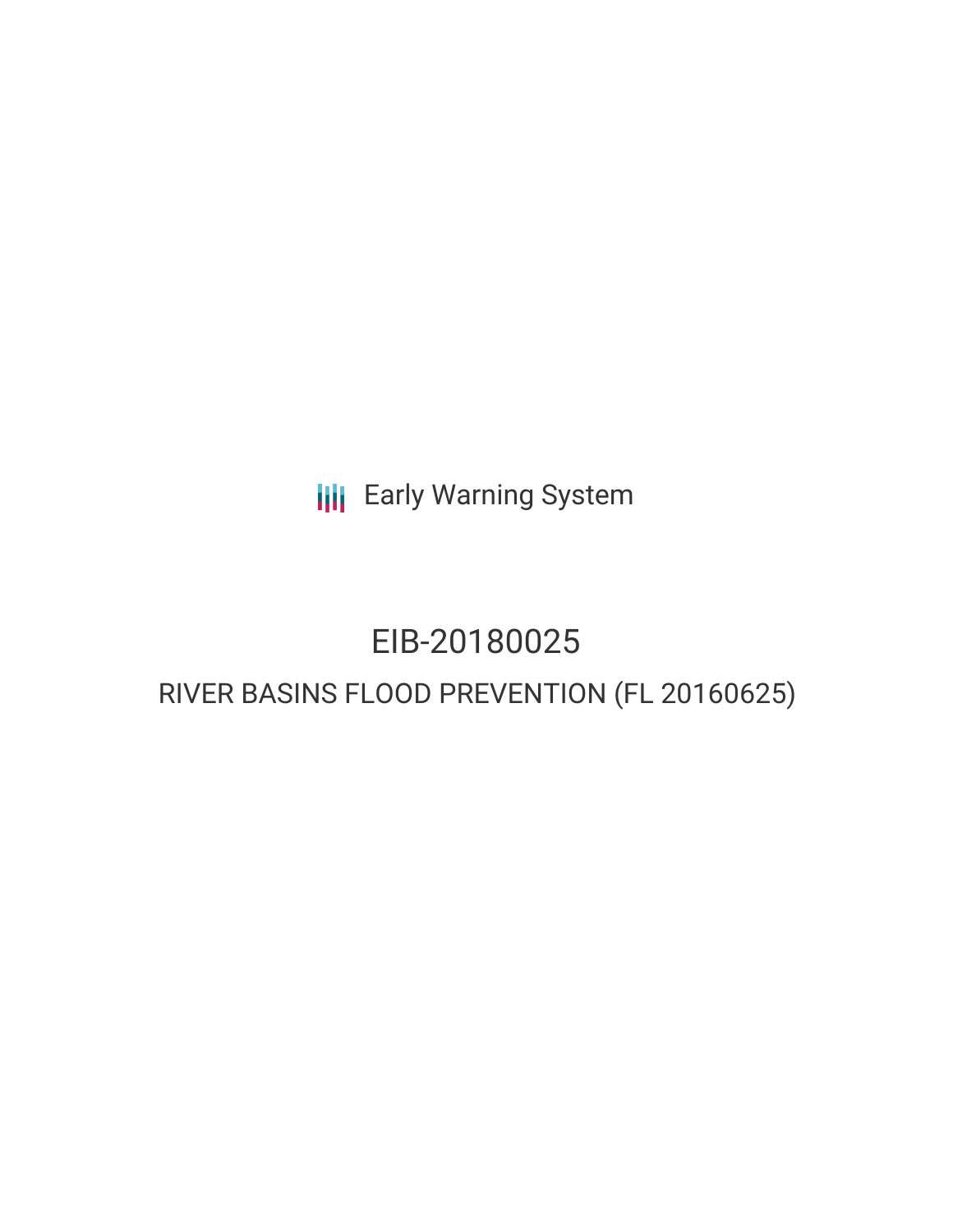**III** Early Warning System

# EIB-20180025

# RIVER BASINS FLOOD PREVENTION (FL 20160625)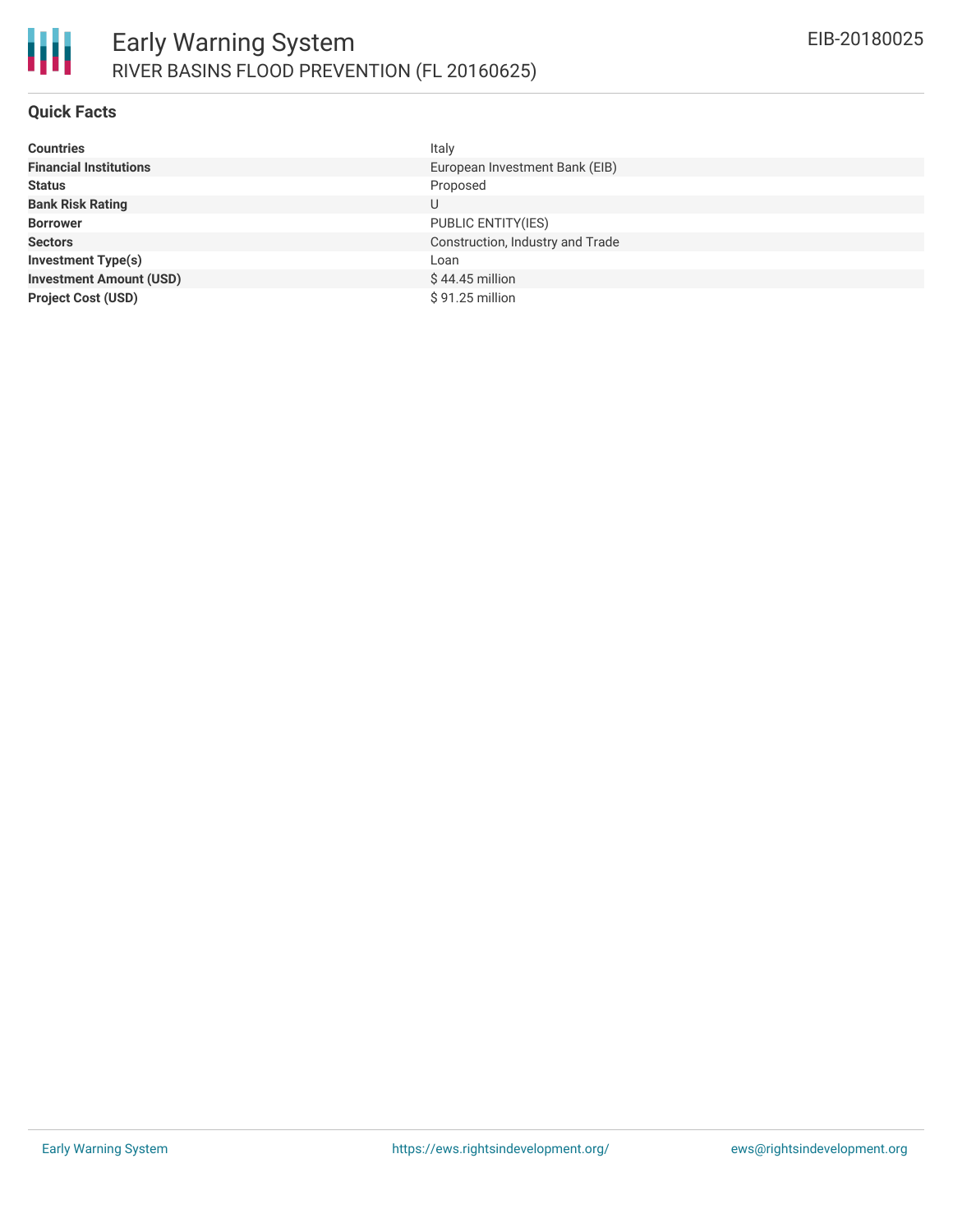

#### **Quick Facts**

| <b>Countries</b>               | Italy                            |
|--------------------------------|----------------------------------|
| <b>Financial Institutions</b>  | European Investment Bank (EIB)   |
| <b>Status</b>                  | Proposed                         |
| <b>Bank Risk Rating</b>        | U                                |
| <b>Borrower</b>                | PUBLIC ENTITY(IES)               |
| <b>Sectors</b>                 | Construction, Industry and Trade |
| <b>Investment Type(s)</b>      | Loan                             |
| <b>Investment Amount (USD)</b> | $$44.45$ million                 |
| <b>Project Cost (USD)</b>      | $$91.25$ million                 |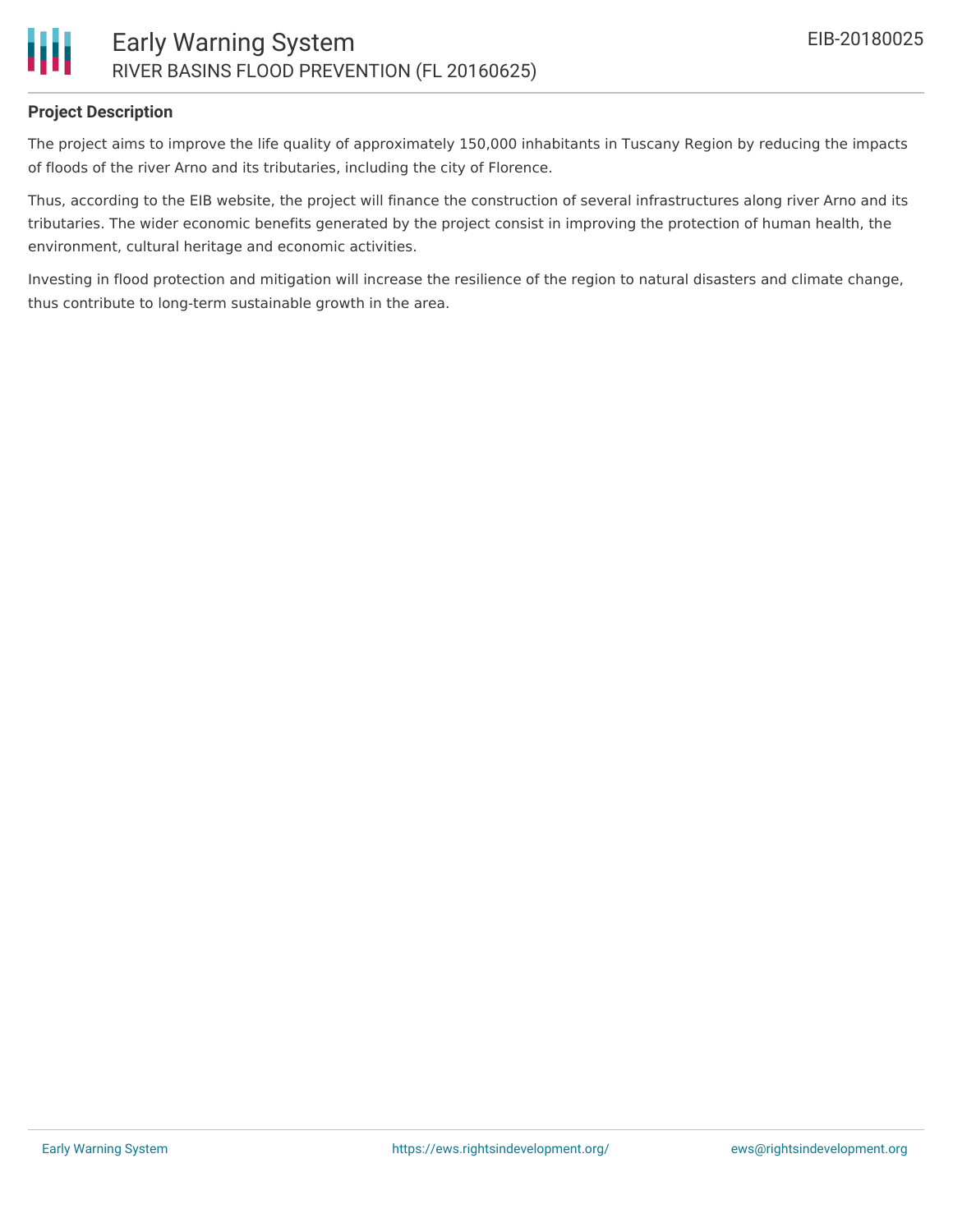### **Project Description**

The project aims to improve the life quality of approximately 150,000 inhabitants in Tuscany Region by reducing the impacts of floods of the river Arno and its tributaries, including the city of Florence.

Thus, according to the EIB website, the project will finance the construction of several infrastructures along river Arno and its tributaries. The wider economic benefits generated by the project consist in improving the protection of human health, the environment, cultural heritage and economic activities.

Investing in flood protection and mitigation will increase the resilience of the region to natural disasters and climate change, thus contribute to long-term sustainable growth in the area.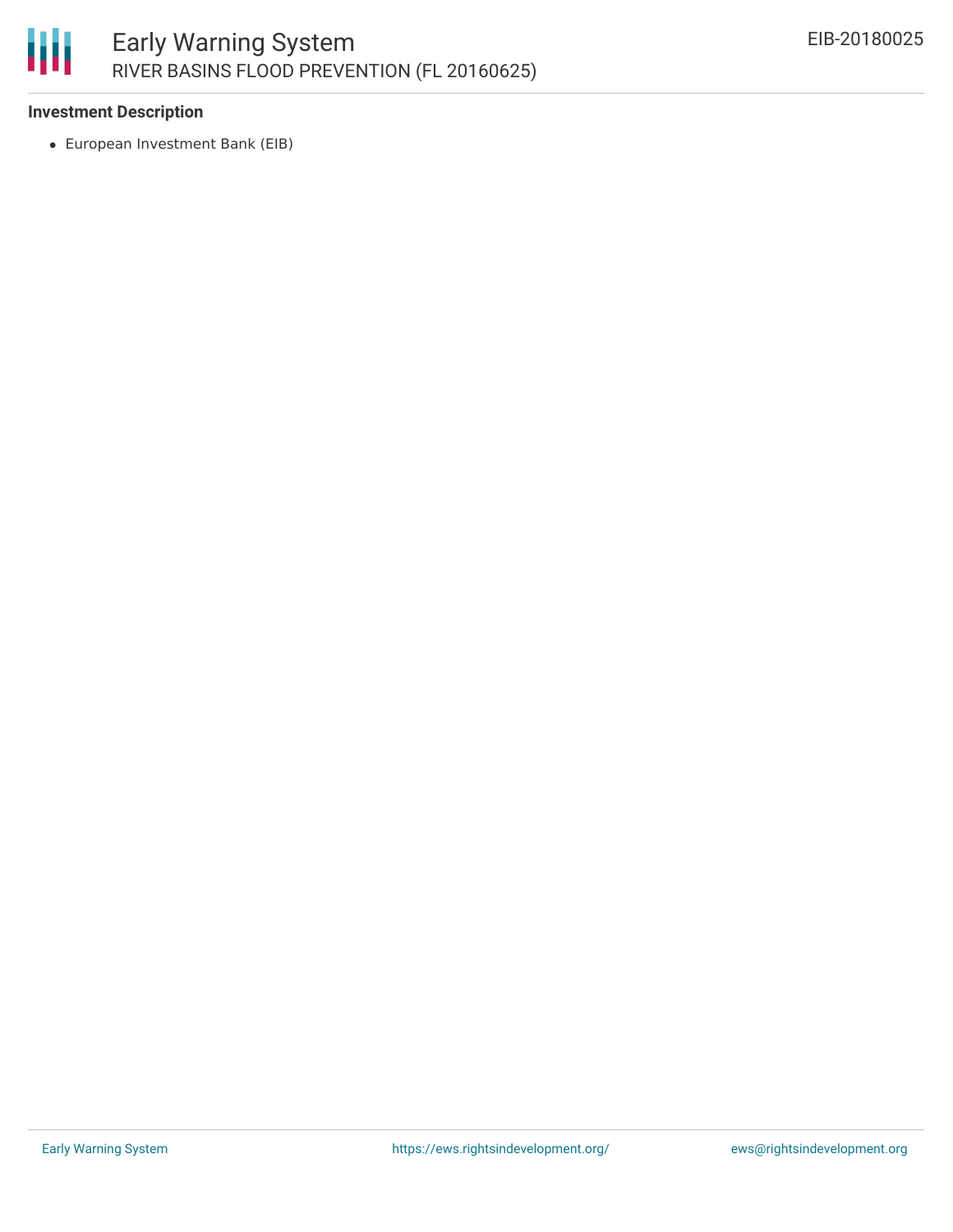

#### **Investment Description**

European Investment Bank (EIB)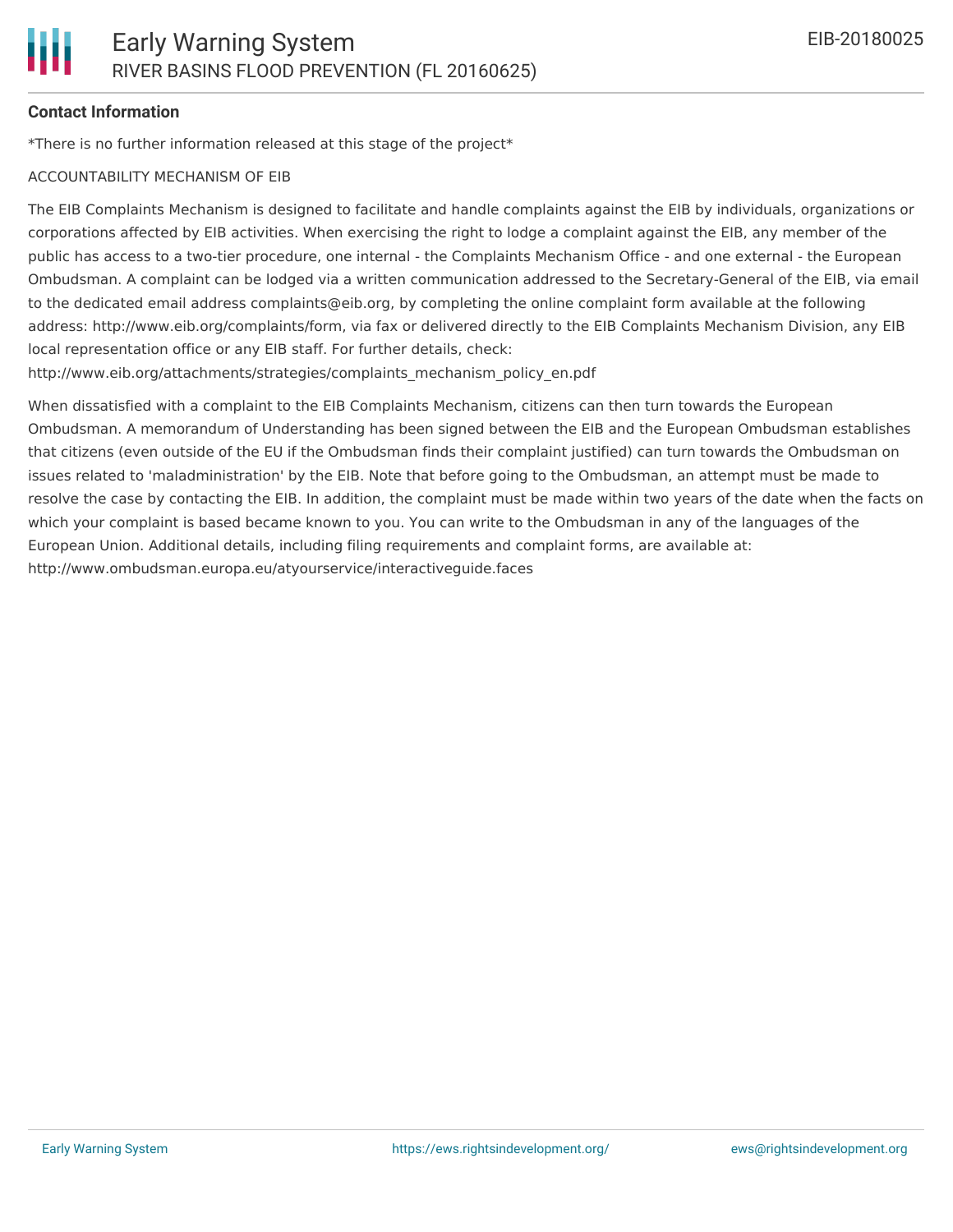#### **Contact Information**

\*There is no further information released at this stage of the project\*

#### ACCOUNTABILITY MECHANISM OF EIB

The EIB Complaints Mechanism is designed to facilitate and handle complaints against the EIB by individuals, organizations or corporations affected by EIB activities. When exercising the right to lodge a complaint against the EIB, any member of the public has access to a two-tier procedure, one internal - the Complaints Mechanism Office - and one external - the European Ombudsman. A complaint can be lodged via a written communication addressed to the Secretary-General of the EIB, via email to the dedicated email address complaints@eib.org, by completing the online complaint form available at the following address: http://www.eib.org/complaints/form, via fax or delivered directly to the EIB Complaints Mechanism Division, any EIB local representation office or any EIB staff. For further details, check:

http://www.eib.org/attachments/strategies/complaints\_mechanism\_policy\_en.pdf

When dissatisfied with a complaint to the EIB Complaints Mechanism, citizens can then turn towards the European Ombudsman. A memorandum of Understanding has been signed between the EIB and the European Ombudsman establishes that citizens (even outside of the EU if the Ombudsman finds their complaint justified) can turn towards the Ombudsman on issues related to 'maladministration' by the EIB. Note that before going to the Ombudsman, an attempt must be made to resolve the case by contacting the EIB. In addition, the complaint must be made within two years of the date when the facts on which your complaint is based became known to you. You can write to the Ombudsman in any of the languages of the European Union. Additional details, including filing requirements and complaint forms, are available at: http://www.ombudsman.europa.eu/atyourservice/interactiveguide.faces